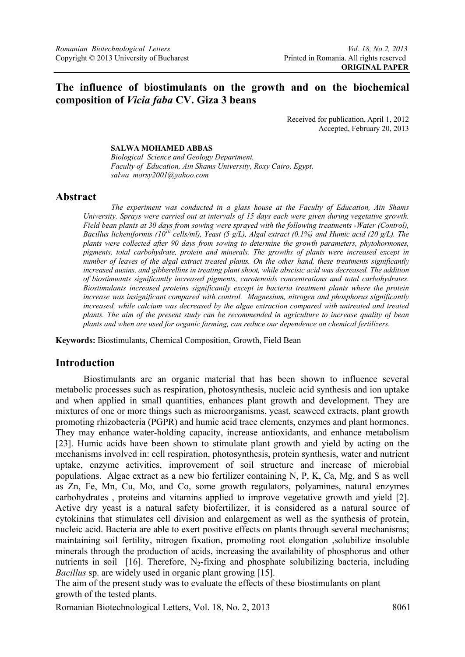# **The influence of biostimulants on the growth and on the biochemical composition of** *Vicia faba* **CV. Giza 3 beans**

Received for publication, April 1, 2012 Accepted, February 20, 2013

### **SALWA MOHAMED ABBAS**

*Biological Science and Geology Department, Faculty of Education, Ain Shams University, Roxy Cairo, Egypt. salwa\_morsy2001@yahoo.com* 

### **Abstract**

*The experiment was conducted in a glass house at the Faculty of Education, Ain Shams University. Sprays were carried out at intervals of 15 days each were given during vegetative growth. Field bean plants at 30 days from sowing were sprayed with the following treatments -Water (Control), Bacillus licheniformis (1010 cells/ml), Yeast (5 g/L), Algal extract (0.1%) and Humic acid (20 g/L). The plants were collected after 90 days from sowing to determine the growth parameters, phytohormones, pigments, total carbohydrate, protein and minerals. The growths of plants were increased except in number of leaves of the algal extract treated plants. On the other hand, these treatments significantly increased auxins, and gibberellins in treating plant shoot, while abscisic acid was decreased. The addition of biostimuants significantly increased pigments, carotenoids concentrations and total carbohydrates. Biostimulants increased proteins significantly except in bacteria treatment plants where the protein increase was insignificant compared with control. Magnesium, nitrogen and phosphorus significantly*  increased, while calcium was decreased by the algae extraction compared with untreated and treated *plants. The aim of the present study can be recommended in agriculture to increase quality of bean plants and when are used for organic farming, can reduce our dependence on chemical fertilizers.* 

**Keywords:** Biostimulants, Chemical Composition, Growth, Field Bean

### **Introduction**

Biostimulants are an organic material that has been shown to influence several metabolic processes such as respiration, photosynthesis, nucleic acid synthesis and ion uptake and when applied in small quantities, enhances plant growth and development. They are mixtures of one or more things such as microorganisms, yeast, seaweed extracts, plant growth promoting rhizobacteria (PGPR) and humic acid trace elements, enzymes and plant hormones. They may enhance water-holding capacity, increase antioxidants, and enhance metabolism [23]. Humic acids have been shown to stimulate plant growth and yield by acting on the mechanisms involved in: cell respiration, photosynthesis, protein synthesis, water and nutrient uptake, enzyme activities, improvement of soil structure and increase of microbial populations. Algae extract as a new bio fertilizer containing N, P, K, Ca, Mg, and S as well as Zn, Fe, Mn, Cu, Mo, and Co, some growth regulators, polyamines, natural enzymes carbohydrates , proteins and vitamins applied to improve vegetative growth and yield [2]. Active dry yeast is a natural safety biofertilizer, it is considered as a natural source of cytokinins that stimulates cell division and enlargement as well as the synthesis of protein, nucleic acid. Bacteria are able to exert positive effects on plants through several mechanisms; maintaining soil fertility, nitrogen fixation, promoting root elongation ,solubilize insoluble minerals through the production of acids, increasing the availability of phosphorus and other nutrients in soil [16]. Therefore,  $N_2$ -fixing and phosphate solubilizing bacteria, including *Bacillus* sp. are widely used in organic plant growing [15].

The aim of the present study was to evaluate the effects of these biostimulants on plant growth of the tested plants.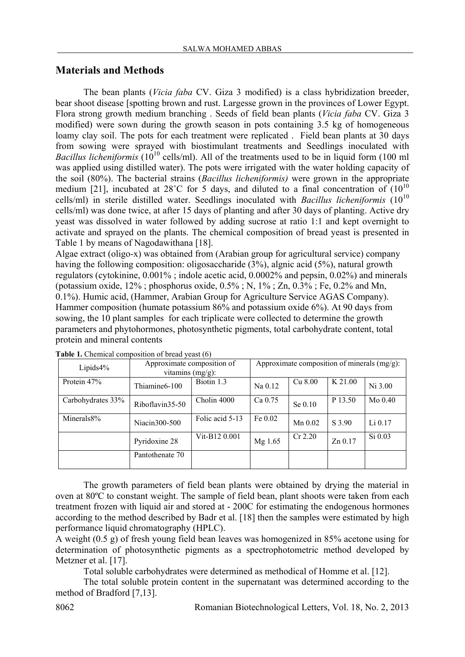# **Materials and Methods**

The bean plants (*Vicia faba* CV. Giza 3 modified) is a class hybridization breeder, bear shoot disease [spotting brown and rust. Largesse grown in the provinces of Lower Egypt. Flora strong growth medium branching . Seeds of field bean plants (*Vicia faba* CV. Giza 3 modified) were sown during the growth season in pots containing 3.5 kg of homogeneous loamy clay soil. The pots for each treatment were replicated . Field bean plants at 30 days from sowing were sprayed with biostimulant treatments and Seedlings inoculated with *Bacillus licheniformis* (10<sup>10</sup> cells/ml). All of the treatments used to be in liquid form (100 ml was applied using distilled water). The pots were irrigated with the water holding capacity of the soil (80%). The bacterial strains (*Bacillus licheniformis)* were grown in the appropriate medium [21], incubated at 28°C for 5 days, and diluted to a final concentration of  $(10^{10}$ cells/ml) in sterile distilled water. Seedlings inoculated with *Bacillus licheniformis*  $(10^{10}$ cells/ml) was done twice, at after 15 days of planting and after 30 days of planting. Active dry yeast was dissolved in water followed by adding sucrose at ratio 1:1 and kept overnight to activate and sprayed on the plants. The chemical composition of bread yeast is presented in Table 1 by means of Nagodawithana [18].

Algae extract (oligo-x) was obtained from (Arabian group for agricultural service) company having the following composition: oligosaccharide (3%), algnic acid (5%), natural growth regulators (cytokinine, 0.001% ; indole acetic acid, 0.0002% and pepsin, 0.02%) and minerals (potassium oxide, 12% ; phosphorus oxide, 0.5% ; N, 1% ; Zn, 0.3% ; Fe, 0.2% and Mn, 0.1%). Humic acid, (Hammer, Arabian Group for Agriculture Service AGAS Company). Hammer composition (humate potassium 86% and potassium oxide 6%). At 90 days from sowing, the 10 plant samples for each triplicate were collected to determine the growth parameters and phytohormones, photosynthetic pigments, total carbohydrate content, total protein and mineral contents

| Lipids $4\%$      | Approximate composition of<br>vitamins $(mg/g)$ : | Approximate composition of minerals $(mg/g)$ : |         |           |           |           |  |
|-------------------|---------------------------------------------------|------------------------------------------------|---------|-----------|-----------|-----------|--|
| Protein 47%       | Thiamine6-100                                     | Biotin 1.3                                     | Na 0.12 | Cu 8.00   | K 21.00   | Ni 3.00   |  |
| Carbohydrates 33% | Riboflavin35-50                                   | Cholin 4000                                    | Ca 0.75 | Se 0.10   | P 13.50   | $Mo$ 0.40 |  |
| Minerals8%        | Niacin300-500                                     | Folic acid 5-13                                | Fe 0.02 | $Mn$ 0.02 | S 3.90    | $Li$ 0.17 |  |
|                   | Pyridoxine 28                                     | Vit-B12 0.001                                  | Mg 1.65 | $Cr$ 2.20 | $Zn$ 0.17 | Si 0.03   |  |
|                   | Pantothenate 70                                   |                                                |         |           |           |           |  |

**Table 1.** Chemical composition of bread yeast (6)

The growth parameters of field bean plants were obtained by drying the material in oven at 80ºC to constant weight. The sample of field bean, plant shoots were taken from each treatment frozen with liquid air and stored at - 200C for estimating the endogenous hormones according to the method described by Badr et al. [18] then the samples were estimated by high performance liquid chromatography (HPLC).

A weight (0.5 g) of fresh young field bean leaves was homogenized in 85% acetone using for determination of photosynthetic pigments as a spectrophotometric method developed by Metzner et al. [17].

Total soluble carbohydrates were determined as methodical of Homme et al. [12].

The total soluble protein content in the supernatant was determined according to the method of Bradford [7,13].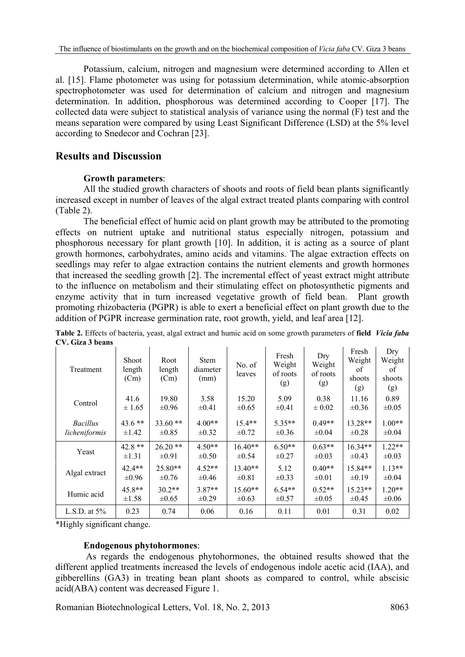Potassium, calcium, nitrogen and magnesium were determined according to Allen et al. [15]. Flame photometer was using for potassium determination, while atomic-absorption spectrophotometer was used for determination of calcium and nitrogen and magnesium determination. In addition, phosphorous was determined according to Cooper [17]. The collected data were subject to statistical analysis of variance using the normal (F) test and the means separation were compared by using Least Significant Difference (LSD) at the 5% level according to Snedecor and Cochran [23].

# **Results and Discussion**

# **Growth parameters**:

All the studied growth characters of shoots and roots of field bean plants significantly increased except in number of leaves of the algal extract treated plants comparing with control (Table 2).

The beneficial effect of humic acid on plant growth may be attributed to the promoting effects on nutrient uptake and nutritional status especially nitrogen, potassium and phosphorous necessary for plant growth [10]. In addition, it is acting as a source of plant growth hormones, carbohydrates, amino acids and vitamins. The algae extraction effects on seedlings may refer to algae extraction contains the nutrient elements and growth hormones that increased the seedling growth [2]. The incremental effect of yeast extract might attribute to the influence on metabolism and their stimulating effect on photosynthetic pigments and enzyme activity that in turn increased vegetative growth of field bean. Plant growth promoting rhizobacteria (PGPR) is able to exert a beneficial effect on plant growth due to the addition of PGPR increase germination rate, root growth, yield, and leaf area [12].

| Treatment       | Shoot<br>length<br>(Cm) | Root<br>length<br>(Cm) | <b>Stem</b><br>diameter<br>(mm) | No. of<br>leaves | Fresh<br>Weight<br>of roots<br>(g) | Dry<br>Weight<br>of roots<br>(g) | Fresh<br>Weight<br>of<br>shoots<br>(g) | Dry<br>Weight<br>of<br>shoots<br>(g) |
|-----------------|-------------------------|------------------------|---------------------------------|------------------|------------------------------------|----------------------------------|----------------------------------------|--------------------------------------|
| Control         | 41.6                    | 19.80                  | 3.58                            | 15.20            | 5.09                               | 0.38                             | 11.16                                  | 0.89                                 |
|                 | ± 1.65                  | $\pm 0.96$             | $\pm 0.41$                      | $\pm 0.65$       | $\pm 0.41$                         | $\pm 0.02$                       | $\pm 0.36$                             | $\pm 0.05$                           |
| <b>Bacillus</b> | $43.6$ **               | $33.60**$              | $4.00**$                        | $15.4**$         | $5.35**$                           | $0.49**$                         | $13.28**$                              | $1.00**$                             |
| licheniformis   | $\pm 1.42$              | $\pm 0.85$             | $\pm 0.32$                      | $\pm 0.72$       | $\pm 0.36$                         | $\pm 0.04$                       | $\pm 0.28$                             | $\pm 0.04$                           |
| Yeast           | $42.8$ **               | $26.20**$              | $4.50**$                        | $16.40**$        | $6.50**$                           | $0.63**$                         | $16.34**$                              | $1.22**$                             |
|                 | $\pm 1.31$              | $\pm 0.91$             | $\pm 0.50$                      | $\pm 0.54$       | $\pm 0.27$                         | $\pm 0.03$                       | $\pm 0.43$                             | $\pm 0.03$                           |
| Algal extract   | $42.4***$               | $25.80**$              | $4.52**$                        | $13.40**$        | 5.12                               | $0.40**$                         | $15.84**$                              | $113**$                              |
|                 | $\pm 0.96$              | $\pm 0.76$             | $\pm 0.46$                      | $\pm 0.81$       | $\pm 0.33$                         | $\pm 0.01$                       | $\pm 0.19$                             | $\pm 0.04$                           |
| Humic acid      | $45.8**$                | $30.2**$               | $3.87**$                        | $15.60**$        | $6.54**$                           | $0.52**$                         | $15.23**$                              | $1.20**$                             |
|                 | $\pm 1.58$              | $\pm 0.65$             | $\pm 0.29$                      | $\pm 0.63$       | $\pm 0.57$                         | $\pm 0.05$                       | $\pm 0.45$                             | $\pm 0.06$                           |
| L.S.D. at $5\%$ | 0.23                    | 0.74                   | 0.06                            | 0.16             | 0.11                               | 0.01                             | 0.31                                   | 0.02                                 |

**Table 2.** Effects of bacteria, yeast, algal extract and humic acid on some growth parameters of **field** *Vicia faba* **CV. Giza 3 beans** 

\*Highly significant change.

### **Endogenous phytohormones**:

 As regards the endogenous phytohormones, the obtained results showed that the different applied treatments increased the levels of endogenous indole acetic acid (IAA), and gibberellins (GA3) in treating bean plant shoots as compared to control, while abscisic acid(ABA) content was decreased Figure 1.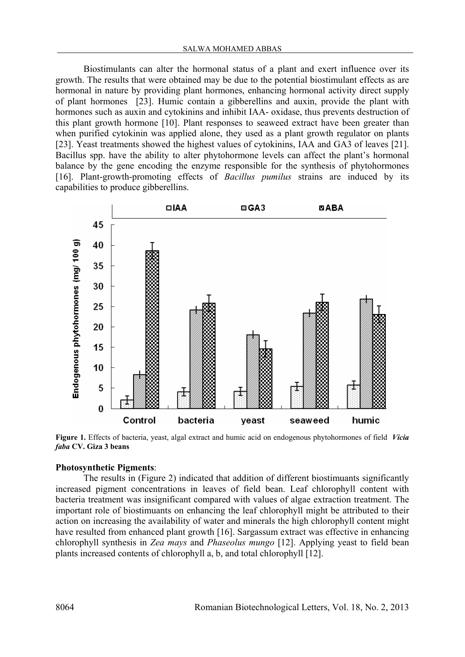Biostimulants can alter the hormonal status of a plant and exert influence over its growth. The results that were obtained may be due to the potential biostimulant effects as are hormonal in nature by providing plant hormones, enhancing hormonal activity direct supply of plant hormones [23]. Humic contain a gibberellins and auxin, provide the plant with hormones such as auxin and cytokinins and inhibit IAA- oxidase, thus prevents destruction of this plant growth hormone [10]. Plant responses to seaweed extract have been greater than when purified cytokinin was applied alone, they used as a plant growth regulator on plants [23]. Yeast treatments showed the highest values of cytokinins, IAA and GA3 of leaves [21]. Bacillus spp. have the ability to alter phytohormone levels can affect the plant's hormonal balance by the gene encoding the enzyme responsible for the synthesis of phytohormones [16]. Plant-growth-promoting effects of *Bacillus pumilus* strains are induced by its capabilities to produce gibberellins.



**Figure 1.** Effects of bacteria, yeast, algal extract and humic acid on endogenous phytohormones of field *Vicia faba* **CV. Giza 3 beans** 

#### **Photosynthetic Pigments**:

The results in (Figure 2) indicated that addition of different biostimuants significantly increased pigment concentrations in leaves of field bean. Leaf chlorophyll content with bacteria treatment was insignificant compared with values of algae extraction treatment. The important role of biostimuants on enhancing the leaf chlorophyll might be attributed to their action on increasing the availability of water and minerals the high chlorophyll content might have resulted from enhanced plant growth [16]. Sargassum extract was effective in enhancing chlorophyll synthesis in *Zea mays* and *Phaseolus mungo* [12]. Applying yeast to field bean plants increased contents of chlorophyll a, b, and total chlorophyll [12].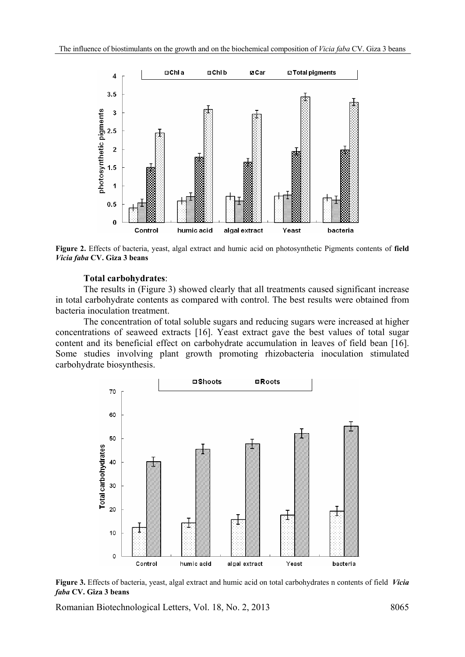

**Figure 2.** Effects of bacteria, yeast, algal extract and humic acid on photosynthetic Pigments contents of **field**  *Vicia faba* **CV. Giza 3 beans** 

#### **Total carbohydrates**:

The results in (Figure 3) showed clearly that all treatments caused significant increase in total carbohydrate contents as compared with control. The best results were obtained from bacteria inoculation treatment.

The concentration of total soluble sugars and reducing sugars were increased at higher concentrations of seaweed extracts [16]. Yeast extract gave the best values of total sugar content and its beneficial effect on carbohydrate accumulation in leaves of field bean [16]. Some studies involving plant growth promoting rhizobacteria inoculation stimulated carbohydrate biosynthesis.



**Figure 3.** Effects of bacteria, yeast, algal extract and humic acid on total carbohydrates n contents of field *Vicia faba* **CV. Giza 3 beans**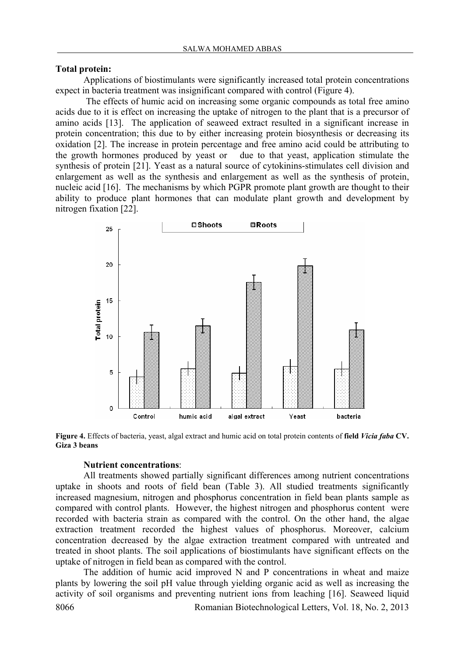#### **Total protein:**

Applications of biostimulants were significantly increased total protein concentrations expect in bacteria treatment was insignificant compared with control (Figure 4).

 The effects of humic acid on increasing some organic compounds as total free amino acids due to it is effect on increasing the uptake of nitrogen to the plant that is a precursor of amino acids [13]. The application of seaweed extract resulted in a significant increase in protein concentration; this due to by either increasing protein biosynthesis or decreasing its oxidation [2]. The increase in protein percentage and free amino acid could be attributing to the growth hormones produced by yeast or due to that yeast, application stimulate the synthesis of protein [21]. Yeast as a natural source of cytokinins-stimulates cell division and enlargement as well as the synthesis and enlargement as well as the synthesis of protein, nucleic acid [16]. The mechanisms by which PGPR promote plant growth are thought to their ability to produce plant hormones that can modulate plant growth and development by nitrogen fixation [22].



**Figure 4.** Effects of bacteria, yeast, algal extract and humic acid on total protein contents of **field** *Vicia faba* **CV. Giza 3 beans** 

### **Nutrient concentrations**:

All treatments showed partially significant differences among nutrient concentrations uptake in shoots and roots of field bean (Table 3). All studied treatments significantly increased magnesium, nitrogen and phosphorus concentration in field bean plants sample as compared with control plants. However, the highest nitrogen and phosphorus content were recorded with bacteria strain as compared with the control. On the other hand, the algae extraction treatment recorded the highest values of phosphorus. Moreover, calcium concentration decreased by the algae extraction treatment compared with untreated and treated in shoot plants. The soil applications of biostimulants have significant effects on the uptake of nitrogen in field bean as compared with the control.

8066 Romanian Biotechnological Letters, Vol. 18, No. 2, 2013 The addition of humic acid improved N and P concentrations in wheat and maize plants by lowering the soil pH value through yielding organic acid as well as increasing the activity of soil organisms and preventing nutrient ions from leaching [16]. Seaweed liquid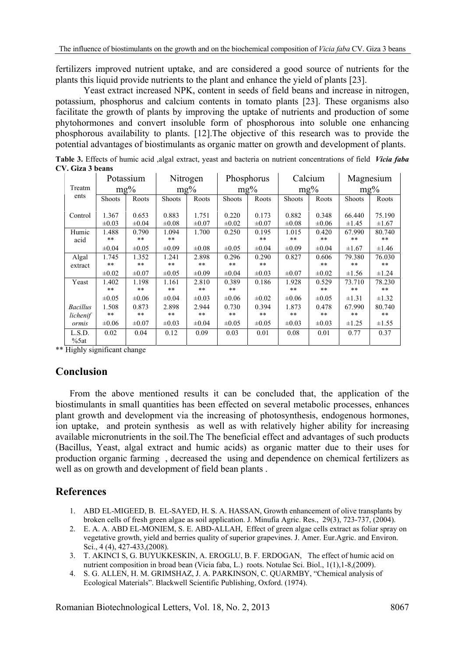fertilizers improved nutrient uptake, and are considered a good source of nutrients for the plants this liquid provide nutrients to the plant and enhance the yield of plants [23].

 Yeast extract increased NPK, content in seeds of field beans and increase in nitrogen, potassium, phosphorus and calcium contents in tomato plants [23]. These organisms also facilitate the growth of plants by improving the uptake of nutrients and production of some phytohormones and convert insoluble form of phosphorous into soluble one enhancing phosphorous availability to plants. [12].The objective of this research was to provide the potential advantages of biostimulants as organic matter on growth and development of plants.

**Table 3.** Effects of humic acid ,algal extract, yeast and bacteria on nutrient concentrations of field *Vicia faba* **CV. Giza 3 beans** 

|                             | Potassium           |                     | Nitrogen            |                     | Phosphorus          |                     | Calcium             |                     | Magnesium       |                      |
|-----------------------------|---------------------|---------------------|---------------------|---------------------|---------------------|---------------------|---------------------|---------------------|-----------------|----------------------|
| Treatm                      | $mg\%$              |                     | $mg\%$              |                     | $mg\%$              |                     | $mg\%$              |                     | $mg\%$          |                      |
| ents                        | <b>Shoots</b>       | Roots               | <b>Shoots</b>       | Roots               | <b>Shoots</b>       | Roots               | Shoots              | Roots               | <b>Shoots</b>   | Roots                |
| Control                     | 1.367<br>$\pm 0.03$ | 0.653<br>$\pm 0.04$ | 0.883<br>$\pm 0.08$ | 1.751<br>$\pm 0.07$ | 0.220<br>$\pm 0.02$ | 0.173<br>$\pm 0.07$ | 0.882<br>$\pm 0.08$ | 0.348<br>$\pm 0.06$ | 66.440<br>±1.45 | 75.190<br>$\pm 1.67$ |
| Humic<br>acid               | 1.488<br>**         | 0.790<br>**         | 1.094<br>**         | 1.700               | 0.250               | 0.195<br>**         | 1.015<br>**         | 0.420<br>**         | 67.990<br>**    | 80.740<br>**         |
|                             | $\pm 0.04$          | $\pm 0.05$          | $\pm 0.09$          | $\pm 0.08$          | $\pm 0.05$          | $\pm 0.04$          | $\pm 0.09$          | $\pm 0.04$          | $\pm 1.67$      | $\pm 1.46$           |
| Algal<br>extract            | 1.745<br>$* *$      | 1.352<br>**         | 1.241<br>$***$      | 2.898<br>$* *$      | 0.296<br>$***$      | 0.290<br>$***$      | 0.827               | 0.606<br>**         | 79.380<br>$**$  | 76.030<br>**         |
|                             | $\pm 0.02$          | $\pm 0.07$          | $\pm 0.05$          | $\pm 0.09$          | $\pm 0.04$          | $\pm 0.03$          | $\pm 0.07$          | $\pm 0.02$          | $\pm 1.56$      | ±1.24                |
| Yeast                       | 1.402<br>**         | 1.198<br>**         | 1.161<br>**         | 2.810<br>**         | 0.389<br>**         | 0.186               | 1.928<br>**         | 0.529<br>$***$      | 73.710<br>**    | 78.230<br>**         |
|                             | $\pm 0.05$          | $\pm 0.06$          | $\pm 0.04$          | $\pm 0.03$          | $\pm 0.06$          | $\pm 0.02$          | $\pm 0.06$          | $\pm 0.05$          | $\pm 1.31$      | $\pm 1.32$           |
| <b>Bacillus</b><br>lichenif | 1.508<br>$* *$      | 0.873<br>$**$       | 2.898<br>$***$      | 2.944<br>**         | 0.730<br>$* *$      | 0.394<br>$**$       | 1.873<br>**         | 0.478<br>$* *$      | 67.990<br>$**$  | 80.740<br>**         |
| ormis                       | $\pm 0.06$          | $\pm 0.07$          | $\pm 0.03$          | $\pm 0.04$          | $\pm 0.05$          | $\pm 0.05$          | $\pm 0.03$          | $\pm 0.03$          | $\pm 1.25$      | ±1.55                |
| L.S.D.<br>%5at              | 0.02                | 0.04                | 0.12                | 0.09                | 0.03                | 0.01                | 0.08                | 0.01                | 0.77            | 0.37                 |

\*\* Highly significant change

# **Conclusion**

From the above mentioned results it can be concluded that, the application of the biostimulants in small quantities has been effected on several metabolic processes, enhances plant growth and development via the increasing of photosynthesis, endogenous hormones, ion uptake, and protein synthesis as well as with relatively higher ability for increasing available micronutrients in the soil.The The beneficial effect and advantages of such products (Bacillus, Yeast, algal extract and humic acids) as organic matter due to their uses for production organic farming , decreased the using and dependence on chemical fertilizers as well as on growth and development of field bean plants .

# **References**

- 1. ABD EL-MIGEED, B. EL-SAYED, H. S. A. HASSAN, Growth enhancement of olive transplants by broken cells of fresh green algae as soil application. J. Minufia Agric. Res., 29(3), 723-737, (2004).
- 2. E. A. A. ABD EL-MONIEM, S. E. ABD-ALLAH, Effect of green algae cells extract as foliar spray on vegetative growth, yield and berries quality of superior grapevines. J. Amer. Eur.Agric. and Environ. Sci., 4 (4), 427-433, (2008).
- 3. T. AKINCI S, G. BUYUKKESKIN, A. EROGLU, B. F. ERDOGAN, The effect of humic acid on nutrient composition in broad bean (Vicia faba, L.) roots. Notulae Sci. Biol., 1(1),1-8,(2009).
- 4. S. G. ALLEN, H. M. GRIMSHAZ, J. A. PARKINSON, C. QUARMBY, "Chemical analysis of Ecological Materials". Blackwell Scientific Publishing, Oxford. (1974).